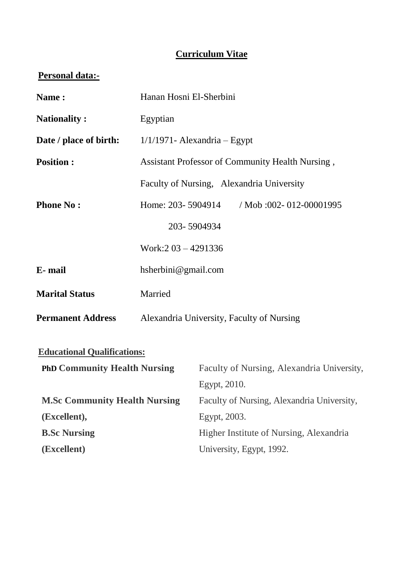# **Curriculum Vitae**

# **Personal data:-**

| Name:                                | Hanan Hosni El-Sherbini                          |              |                                            |  |
|--------------------------------------|--------------------------------------------------|--------------|--------------------------------------------|--|
| <b>Nationality:</b>                  | Egyptian                                         |              |                                            |  |
| Date / place of birth:               | $1/1/1971$ - Alexandria - Egypt                  |              |                                            |  |
| <b>Position:</b>                     | Assistant Professor of Community Health Nursing, |              |                                            |  |
|                                      |                                                  |              | Faculty of Nursing, Alexandria University  |  |
| <b>Phone No:</b>                     | Home: 203-5904914                                |              | / Mob :002- 012-00001995                   |  |
|                                      | 203-5904934                                      |              |                                            |  |
|                                      | Work: 203 - 4291336                              |              |                                            |  |
| E-mail                               | hsherbini@gmail.com                              |              |                                            |  |
| <b>Marital Status</b>                | Married                                          |              |                                            |  |
| <b>Permanent Address</b>             | Alexandria University, Faculty of Nursing        |              |                                            |  |
| <b>Educational Qualifications:</b>   |                                                  |              |                                            |  |
| <b>PhD Community Health Nursing</b>  |                                                  |              | Faculty of Nursing, Alexandria University, |  |
|                                      |                                                  | Egypt, 2010. |                                            |  |
| <b>M.Sc Community Health Nursing</b> |                                                  |              | Faculty of Nursing, Alexandria University, |  |
| (Excellent),                         |                                                  | Egypt, 2003. |                                            |  |
| <b>B.Sc Nursing</b>                  |                                                  |              | Higher Institute of Nursing, Alexandria    |  |
| (Excellent)                          |                                                  |              | University, Egypt, 1992.                   |  |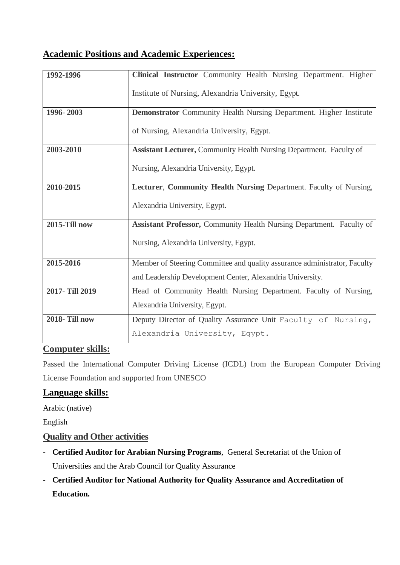# **Academic Positions and Academic Experiences:**

| 1992-1996            | Clinical Instructor Community Health Nursing Department. Higher            |  |  |  |
|----------------------|----------------------------------------------------------------------------|--|--|--|
|                      | Institute of Nursing, Alexandria University, Egypt.                        |  |  |  |
| 1996-2003            | <b>Demonstrator</b> Community Health Nursing Department. Higher Institute  |  |  |  |
|                      | of Nursing, Alexandria University, Egypt.                                  |  |  |  |
| 2003-2010            | <b>Assistant Lecturer, Community Health Nursing Department. Faculty of</b> |  |  |  |
|                      | Nursing, Alexandria University, Egypt.                                     |  |  |  |
| 2010-2015            | Lecturer, Community Health Nursing Department. Faculty of Nursing,         |  |  |  |
|                      | Alexandria University, Egypt.                                              |  |  |  |
| 2015-Till now        | Assistant Professor, Community Health Nursing Department. Faculty of       |  |  |  |
|                      | Nursing, Alexandria University, Egypt.                                     |  |  |  |
| 2015-2016            | Member of Steering Committee and quality assurance administrator, Faculty  |  |  |  |
|                      | and Leadership Development Center, Alexandria University.                  |  |  |  |
| 2017-Till 2019       | Head of Community Health Nursing Department. Faculty of Nursing,           |  |  |  |
|                      | Alexandria University, Egypt.                                              |  |  |  |
| <b>2018-Till now</b> | Deputy Director of Quality Assurance Unit Faculty of Nursing,              |  |  |  |
|                      | Alexandria University, Egypt.                                              |  |  |  |

### **Computer skills:**

Passed the International Computer Driving License (ICDL) from the European Computer Driving License Foundation and supported from UNESCO

# **Language skills:**

Arabic (native)

English

# **Quality and Other activities**

- **Certified Auditor for Arabian Nursing Programs**, General Secretariat of the Union of Universities and the Arab Council for Quality Assurance
- **Certified Auditor for National Authority for Quality Assurance and Accreditation of Education.**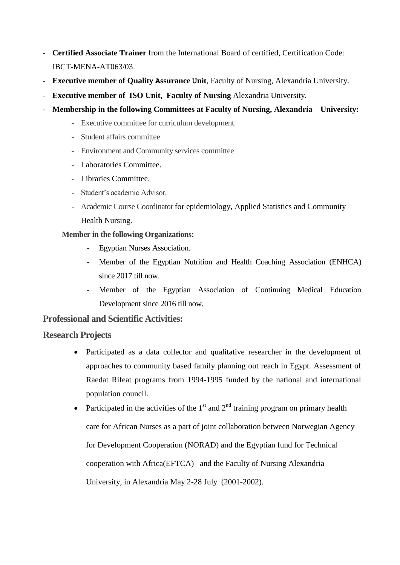- **Certified Associate Trainer** from the International Board of certified, Certification Code: IBCT-MENA-AT063/03.
- **Executive member of Quality Assurance Unit**, Faculty of Nursing, Alexandria University.
- **Executive member of ISO Unit, Faculty of Nursing** Alexandria University.
- **Membership in the following Committees at Faculty of Nursing, Alexandria University:** 
	- Executive committee for curriculum development.
	- Student affairs committee
	- Environment and Community services committee
	- Laboratories Committee.
	- Libraries Committee.
	- Student's academic Advisor.
	- Academic Course Coordinator for epidemiology, Applied Statistics and Community Health Nursing.

#### **Member in the following Organizations:**

- Egyptian Nurses Association.
- Member of the Egyptian Nutrition and Health Coaching Association (ENHCA) since 2017 till now.
- Member of the Egyptian Association of Continuing Medical Education Development since 2016 till now.

### **Professional and Scientific Activities:**

### **Research Projects**

- Participated as a data collector and qualitative researcher in the development of approaches to community based family planning out reach in Egypt. Assessment of Raedat Rifeat programs from 1994-1995 funded by the national and international population council.
- Participated in the activities of the  $1<sup>st</sup>$  and  $2<sup>nd</sup>$  training program on primary health care for African Nurses as a part of joint collaboration between Norwegian Agency for Development Cooperation (NORAD) and the Egyptian fund for Technical cooperation with Africa(EFTCA) and the Faculty of Nursing Alexandria University, in Alexandria May 2-28 July (2001-2002).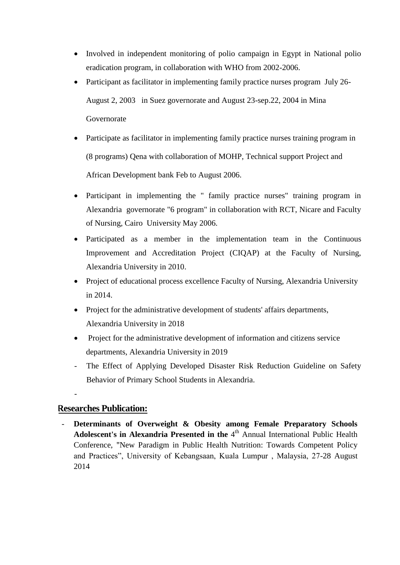- Involved in independent monitoring of polio campaign in Egypt in National polio eradication program, in collaboration with WHO from 2002-2006.
- Participant as facilitator in implementing family practice nurses program July 26-August 2, 2003 in Suez governorate and August 23-sep.22, 2004 in Mina Governorate
- Participate as facilitator in implementing family practice nurses training program in (8 programs) Qena with collaboration of MOHP, Technical support Project and African Development bank Feb to August 2006.
- Participant in implementing the " family practice nurses" training program in Alexandria governorate "6 program" in collaboration with RCT, Nicare and Faculty of Nursing, Cairo University May 2006.
- Participated as a member in the implementation team in the Continuous Improvement and Accreditation Project (CIQAP) at the Faculty of Nursing, Alexandria University in 2010.
- Project of educational process excellence Faculty of Nursing, Alexandria University in 2014.
- Project for the administrative development of students' affairs departments, Alexandria University in 2018
- Project for the administrative development of information and citizens service departments, Alexandria University in 2019
- The Effect of Applying Developed Disaster Risk Reduction Guideline on Safety Behavior of Primary School Students in Alexandria.

# **Researches Publication:**

-

- **Determinants of Overweight & Obesity among Female Preparatory Schools**  Adolescent's in Alexandria Presented in the 4<sup>th</sup> Annual International Public Health Conference, "New Paradigm in Public Health Nutrition: Towards Competent Policy and Practices", University of Kebangsaan, Kuala Lumpur , Malaysia, 27-28 August 2014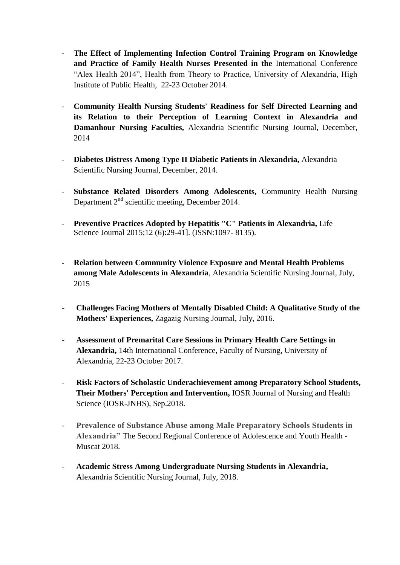- **The Effect of Implementing Infection Control Training Program on Knowledge and Practice of Family Health Nurses Presented in the** International Conference "Alex Health 2014", Health from Theory to Practice, University of Alexandria, High Institute of Public Health, 22-23 October 2014.
- **Community Health Nursing Students' Readiness for Self Directed Learning and its Relation to their Perception of Learning Context in Alexandria and Damanhour Nursing Faculties,** Alexandria Scientific Nursing Journal, December, 2014
- **Diabetes Distress Among Type II Diabetic Patients in Alexandria,** Alexandria Scientific Nursing Journal, December, 2014.
- **Substance Related Disorders Among Adolescents,** Community Health Nursing Department  $2<sup>nd</sup>$  scientific meeting, December 2014.
- **Preventive Practices Adopted by Hepatitis "C" Patients in Alexandria,** Life Science Journal 2015;12 (6):29-41]. (ISSN:1097- 8135).
- **Relation between Community Violence Exposure and Mental Health Problems among Male Adolescents in Alexandria**, Alexandria Scientific Nursing Journal, July, 2015
- **Challenges Facing Mothers of Mentally Disabled Child: A Qualitative Study of the Mothers' Experiences,** Zagazig Nursing Journal, July, 2016.
- **Assessment of Premarital Care Sessions in Primary Health Care Settings in Alexandria,** 14th International Conference, Faculty of Nursing, University of Alexandria, 22-23 October 2017.
- **Risk Factors of Scholastic Underachievement among Preparatory School Students, Their Mothers' Perception and Intervention,** IOSR Journal of Nursing and Health Science (IOSR-JNHS), Sep.2018.
- **Prevalence of Substance Abuse among Male Preparatory Schools Students in Alexandria"** The Second Regional Conference of Adolescence and Youth Health - Muscat 2018.
- **Academic Stress Among Undergraduate Nursing Students in Alexandria,**  Alexandria Scientific Nursing Journal, July, 2018.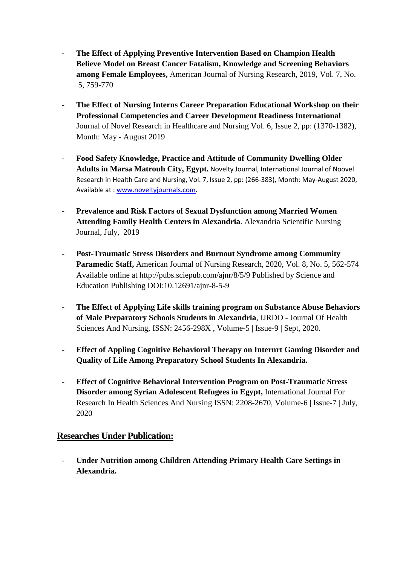- **The Effect of Applying Preventive Intervention Based on Champion Health Believe Model on Breast Cancer Fatalism, Knowledge and Screening Behaviors among Female Employees,** American Journal of Nursing Research, 2019, Vol. 7, No. 5, 759-770
- **The Effect of Nursing Interns Career Preparation Educational Workshop on their Professional Competencies and Career Development Readiness International**  Journal of Novel Research in Healthcare and Nursing Vol. 6, Issue 2, pp: (1370-1382), Month: May - August 2019
- **Food Safety Knowledge, Practice and Attitude of Community Dwelling Older Adults in Marsa Matrouh City, Egypt.** Novelty Journal, International Journal of Noovel Research in Health Care and Nursing, Vol. 7, Issue 2, pp: (266-383), Month: May-August 2020, Available at [: www.noveltyjournals.com.](http://www.noveltyjournals.com/)
- **Prevalence and Risk Factors of Sexual Dysfunction among Married Women Attending Family Health Centers in Alexandria**. Alexandria Scientific Nursing Journal, July, 2019
- **Post-Traumatic Stress Disorders and Burnout Syndrome among Community Paramedic Staff,** American Journal of Nursing Research, 2020, Vol. 8, No. 5, 562-574 Available online at http://pubs.sciepub.com/ajnr/8/5/9 Published by Science and Education Publishing DOI:10.12691/ajnr-8-5-9
- **The Effect of Applying Life skills training program on Substance Abuse Behaviors of Male Preparatory Schools Students in Alexandria**, IJRDO - Journal Of Health Sciences And Nursing, ISSN: 2456-298X, Volume-5 | Issue-9 | Sept, 2020.
- **Effect of Appling Cognitive Behavioral Therapy on Internrt Gaming Disorder and Quality of Life Among Preparatory School Students In Alexandria.**
- **Effect of Cognitive Behavioral Intervention Program on Post-Traumatic Stress Disorder among Syrian Adolescent Refugees in Egypt,** International Journal For Research In Health Sciences And Nursing ISSN: 2208-2670, Volume-6 | Issue-7 | July, 2020

# **Researches Under Publication:**

- **Under Nutrition among Children Attending Primary Health Care Settings in Alexandria.**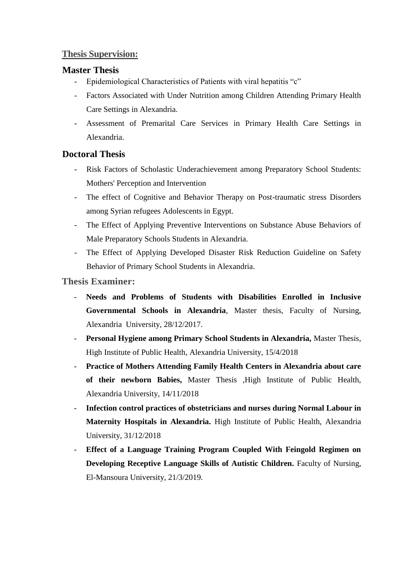## **Thesis Supervision:**

## **Master Thesis**

- Epidemiological Characteristics of Patients with viral hepatitis "c"
- Factors Associated with Under Nutrition among Children Attending Primary Health Care Settings in Alexandria.
- Assessment of Premarital Care Services in Primary Health Care Settings in Alexandria.

# **Doctoral Thesis**

- Risk Factors of Scholastic Underachievement among Preparatory School Students: Mothers' Perception and Intervention
- The effect of Cognitive and Behavior Therapy on Post-traumatic stress Disorders among Syrian refugees Adolescents in Egypt.
- The Effect of Applying Preventive Interventions on Substance Abuse Behaviors of Male Preparatory Schools Students in Alexandria.
- The Effect of Applying Developed Disaster Risk Reduction Guideline on Safety Behavior of Primary School Students in Alexandria.

### **Thesis Examiner:**

- **Needs and Problems of Students with Disabilities Enrolled in Inclusive Governmental Schools in Alexandria**, Master thesis, Faculty of Nursing, Alexandria University, 28/12/2017.
- **Personal Hygiene among Primary School Students in Alexandria,** Master Thesis, High Institute of Public Health, Alexandria University, 15/4/2018
- **Practice of Mothers Attending Family Health Centers in Alexandria about care of their newborn Babies,** Master Thesis ,High Institute of Public Health, Alexandria University, 14/11/2018
- **Infection control practices of obstetricians and nurses during Normal Labour in Maternity Hospitals in Alexandria.** High Institute of Public Health, Alexandria University, 31/12/2018
- **Effect of a Language Training Program Coupled With Feingold Regimen on Developing Receptive Language Skills of Autistic Children.** Faculty of Nursing, El-Mansoura University, 21/3/2019.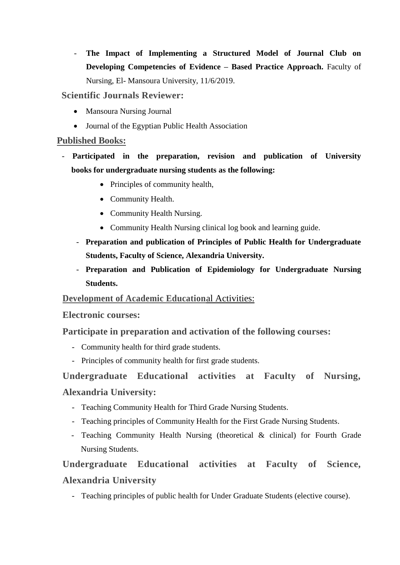The Impact of Implementing a Structured Model of Journal Club on **Developing Competencies of Evidence – Based Practice Approach.** Faculty of Nursing, El- Mansoura University, 11/6/2019.

## **Scientific Journals Reviewer:**

- Mansoura Nursing Journal
- Journal of the Egyptian Public Health Association

## **Published Books:**

- **Participated in the preparation, revision and publication of University books for undergraduate nursing students as the following:**
	- Principles of community health,
	- Community Health.
	- Community Health Nursing.
	- Community Health Nursing clinical log book and learning guide.
	- **Preparation and publication of Principles of Public Health for Undergraduate Students, Faculty of Science, Alexandria University.**
	- **Preparation and Publication of Epidemiology for Undergraduate Nursing Students.**

### **Development of Academic Education**al Activities:

### **Electronic courses:**

# **Participate in preparation and activation of the following courses:**

- Community health for third grade students.
- Principles of community health for first grade students.

# **Undergraduate Educational activities at Faculty of Nursing, Alexandria University:**

- Teaching Community Health for Third Grade Nursing Students.
- Teaching principles of Community Health for the First Grade Nursing Students.
- Teaching Community Health Nursing (theoretical & clinical) for Fourth Grade Nursing Students.

# **Undergraduate Educational activities at Faculty of Science, Alexandria University**

- Teaching principles of public health for Under Graduate Students (elective course).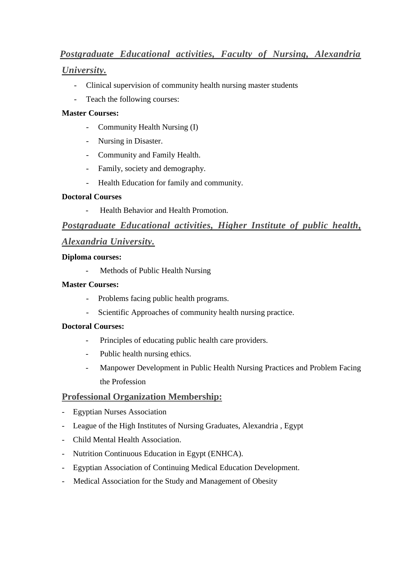# *Postgraduate Educational activities, Faculty of Nursing, Alexandria*

## *University.*

- Clinical supervision of community health nursing master students
- Teach the following courses:

#### **Master Courses:**

- Community Health Nursing (I)
- Nursing in Disaster.
- Community and Family Health.
- Family, society and demography.
- Health Education for family and community.

#### **Doctoral Courses**

- Health Behavior and Health Promotion.

# *Postgraduate Educational activities, Higher Institute of public health,*

### *Alexandria University.*

#### **Diploma courses:**

- Methods of Public Health Nursing

#### **Master Courses:**

- Problems facing public health programs.
- Scientific Approaches of community health nursing practice.

#### **Doctoral Courses:**

- Principles of educating public health care providers.
- Public health nursing ethics.
- Manpower Development in Public Health Nursing Practices and Problem Facing the Profession

### **Professional Organization Membership:**

- Egyptian Nurses Association
- League of the High Institutes of Nursing Graduates, Alexandria , Egypt
- Child Mental Health Association.
- [Nutrition Continuous Education in Egypt \(ENHCA\)](https://www.facebook.com/NutritionContinousEducationInEgyptByEnhca/?ref=page_internal).
- Egyptian Association of Continuing Medical Education Development.
- Medical Association for the Study and Management of Obesity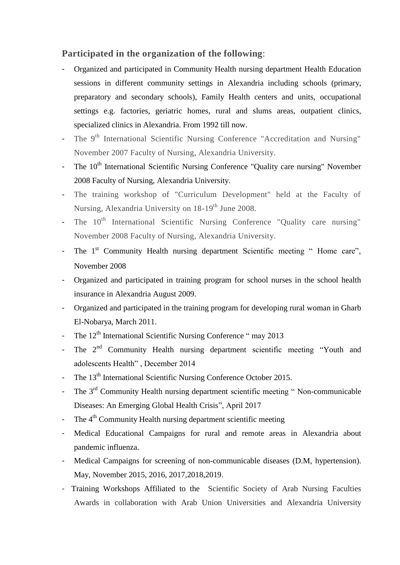### **Participated in the organization of the following**:

- Organized and participated in Community Health nursing department Health Education sessions in different community settings in Alexandria including schools (primary, preparatory and secondary schools), Family Health centers and units, occupational settings e.g. factories, geriatric homes, rural and slums areas, outpatient clinics, specialized clinics in Alexandria. From 1992 till now.
- The 9<sup>th</sup> International Scientific Nursing Conference "Accreditation and Nursing" November 2007 Faculty of Nursing, Alexandria University.
- The 10<sup>th</sup> International Scientific Nursing Conference "Quality care nursing" November 2008 Faculty of Nursing, Alexandria University.
- The training workshop of "Curriculum Development" held at the Faculty of Nursing, Alexandria University on 18-19<sup>th</sup> June 2008.
- The 10<sup>th</sup> International Scientific Nursing Conference "Quality care nursing" November 2008 Faculty of Nursing, Alexandria University.
- The 1<sup>st</sup> Community Health nursing department Scientific meeting " Home care", November 2008
- Organized and participated in training program for school nurses in the school health insurance in Alexandria August 2009.
- Organized and participated in the training program for developing rural woman in Gharb El-Nobarya, March 2011.
- The  $12<sup>th</sup>$  International Scientific Nursing Conference " may 2013
- The 2<sup>nd</sup> Community Health nursing department scientific meeting "Youth and adolescents Health" , December 2014
- The 13<sup>th</sup> International Scientific Nursing Conference October 2015.
- The  $3<sup>rd</sup>$  Community Health nursing department scientific meeting "Non-communicable Diseases: An Emerging Global Health Crisis", April 2017
- The  $4<sup>th</sup>$  Community Health nursing department scientific meeting
- Medical Educational Campaigns for rural and remote areas in Alexandria about pandemic influenza.
- Medical Campaigns for screening of non-communicable diseases (D.M, hypertension). May, November 2015, 2016, 2017,2018,2019.
- Training Workshops Affiliated to the [Scientific Society of Arab Nursing Faculties](https://www.facebook.com/The-Scientific-Society-of-Arab-Nursing-Faculties-Awards-1486975891521578/?ref=page_internal)  [Awards](https://www.facebook.com/The-Scientific-Society-of-Arab-Nursing-Faculties-Awards-1486975891521578/?ref=page_internal) in collaboration with Arab Union Universities and Alexandria University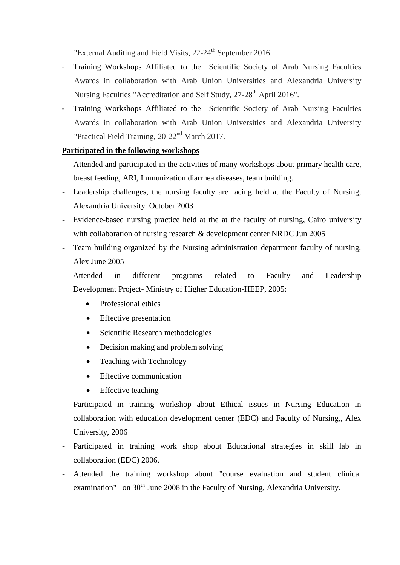"External Auditing and Field Visits, 22-24<sup>th</sup> September 2016.

- Training Workshops Affiliated to the [Scientific Society of Arab Nursing Faculties](https://www.facebook.com/The-Scientific-Society-of-Arab-Nursing-Faculties-Awards-1486975891521578/?ref=page_internal)  [Awards](https://www.facebook.com/The-Scientific-Society-of-Arab-Nursing-Faculties-Awards-1486975891521578/?ref=page_internal) in collaboration with Arab Union Universities and Alexandria University Nursing Faculties "Accreditation and Self Study, 27-28<sup>th</sup> April 2016".
- Training Workshops Affiliated to the [Scientific Society of Arab Nursing Faculties](https://www.facebook.com/The-Scientific-Society-of-Arab-Nursing-Faculties-Awards-1486975891521578/?ref=page_internal)  [Awards](https://www.facebook.com/The-Scientific-Society-of-Arab-Nursing-Faculties-Awards-1486975891521578/?ref=page_internal) in collaboration with Arab Union Universities and Alexandria University "Practical Field Training, 20-22<sup>nd</sup> March 2017.

#### **Participated in the following workshops**

- Attended and participated in the activities of many workshops about primary health care, breast feeding, ARI, Immunization diarrhea diseases, team building.
- Leadership challenges, the nursing faculty are facing held at the Faculty of Nursing, Alexandria University. October 2003
- Evidence-based nursing practice held at the at the faculty of nursing, Cairo university with collaboration of nursing research & development center NRDC Jun 2005
- Team building organized by the Nursing administration department faculty of nursing, Alex June 2005
- Attended in different programs related to Faculty and Leadership Development Project- Ministry of Higher Education-HEEP, 2005:
	- Professional ethics
	- Effective presentation
	- Scientific Research methodologies
	- Decision making and problem solving
	- Teaching with Technology
	- Effective communication
	- Effective teaching
- Participated in training workshop about Ethical issues in Nursing Education in collaboration with education development center (EDC) and Faculty of Nursing,, Alex University, 2006
- Participated in training work shop about Educational strategies in skill lab in collaboration (EDC) 2006.
- Attended the training workshop about "course evaluation and student clinical examination" on 30<sup>th</sup> June 2008 in the Faculty of Nursing, Alexandria University.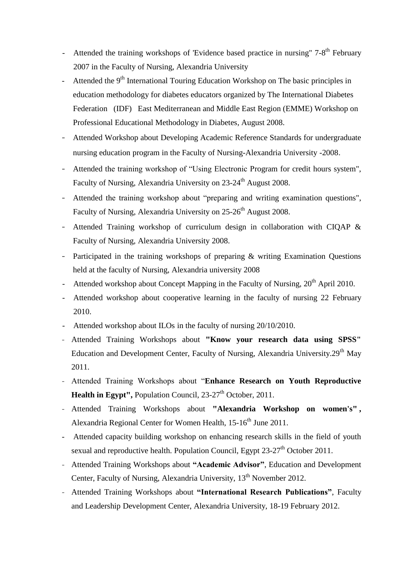- Attended the training workshops of 'Evidence based practice in nursing" 7-8<sup>th</sup> February 2007 in the Faculty of Nursing, Alexandria University
- Attended the  $9<sup>th</sup>$  International Touring Education Workshop on The basic principles in education methodology for diabetes educators organized by The International Diabetes Federation (IDF) East Mediterranean and Middle East Region (EMME) Workshop on Professional Educational Methodology in Diabetes, August 2008.
- Attended Workshop about Developing Academic Reference Standards for undergraduate nursing education program in the Faculty of Nursing-Alexandria University -2008.
- Attended the training workshop of "Using Electronic Program for credit hours system", Faculty of Nursing, Alexandria University on 23-24<sup>th</sup> August 2008.
- Attended the training workshop about "preparing and writing examination questions", Faculty of Nursing, Alexandria University on 25-26<sup>th</sup> August 2008.
- Attended Training workshop of curriculum design in collaboration with CIQAP & Faculty of Nursing, Alexandria University 2008.
- Participated in the training workshops of preparing  $\&$  writing Examination Questions held at the faculty of Nursing, Alexandria university 2008
- Attended workshop about Concept Mapping in the Faculty of Nursing,  $20^{th}$  April 2010.
- Attended workshop about cooperative learning in the faculty of nursing 22 February 2010.
- Attended workshop about ILOs in the faculty of nursing  $20/10/2010$ .
- Attended Training Workshops about **"Know your research data using SPSS"**  Education and Development Center, Faculty of Nursing, Alexandria University.29<sup>th</sup> May 2011.
- Attended Training Workshops about "**Enhance Research on Youth Reproductive Health in Egypt", Population Council, 23-27<sup>th</sup> October, 2011.**
- Attended Training Workshops about **"Alexandria Workshop on women's" ,**  Alexandria Regional Center for Women Health,  $15{\text -}16^{\text{th}}$  June 2011.
- Attended capacity building workshop on enhancing research skills in the field of youth sexual and reproductive health. Population Council, Egypt  $23-27<sup>th</sup>$  October 2011.
- Attended Training Workshops about **"Academic Advisor"**, Education and Development Center, Faculty of Nursing, Alexandria University, 13<sup>th</sup> November 2012.
- Attended Training Workshops about **"International Research Publications"**, Faculty and Leadership Development Center, Alexandria University, 18-19 February 2012.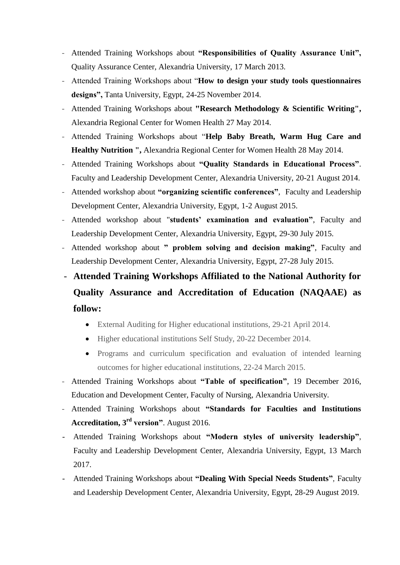- Attended Training Workshops about **"Responsibilities of Quality Assurance Unit",** Quality Assurance Center, Alexandria University, 17 March 2013.
- Attended Training Workshops about "**How to design your study tools questionnaires designs",** Tanta University, Egypt, 24-25 November 2014.
- Attended Training Workshops about **"Research Methodology & Scientific Writing",**  Alexandria Regional Center for Women Health 27 May 2014.
- Attended Training Workshops about "**Help Baby Breath, Warm Hug Care and Healthy Nutrition ",** Alexandria Regional Center for Women Health 28 May 2014.
- Attended Training Workshops about **"Quality Standards in Educational Process"**. Faculty and Leadership Development Center, Alexandria University, 20-21 August 2014.
- Attended workshop about **"organizing scientific conferences"**, Faculty and Leadership Development Center, Alexandria University, Egypt, 1-2 August 2015.
- Attended workshop about "**students' examination and evaluation"**, Faculty and Leadership Development Center, Alexandria University, Egypt, 29-30 July 2015.
- Attended workshop about **" problem solving and decision making"**, Faculty and Leadership Development Center, Alexandria University, Egypt, 27-28 July 2015.
- **Attended Training Workshops Affiliated to the National Authority for Quality Assurance and Accreditation of Education (NAQAAE) as follow:**
	- External Auditing for Higher educational institutions, 29-21 April 2014.
	- Higher educational institutions Self Study, 20-22 December 2014.
	- Programs and curriculum specification and evaluation of intended learning outcomes for higher educational institutions, 22-24 March 2015.
- Attended Training Workshops about **"Table of specification"**, 19 December 2016, Education and Development Center, Faculty of Nursing, Alexandria University.
- Attended Training Workshops about **"Standards for Faculties and Institutions Accreditation, 3rd version"**. August 2016.
- Attended Training Workshops about **"Modern styles of university leadership"**, Faculty and Leadership Development Center, Alexandria University, Egypt, 13 March 2017.
- Attended Training Workshops about **"Dealing With Special Needs Students"**, Faculty and Leadership Development Center, Alexandria University, Egypt, 28-29 August 2019.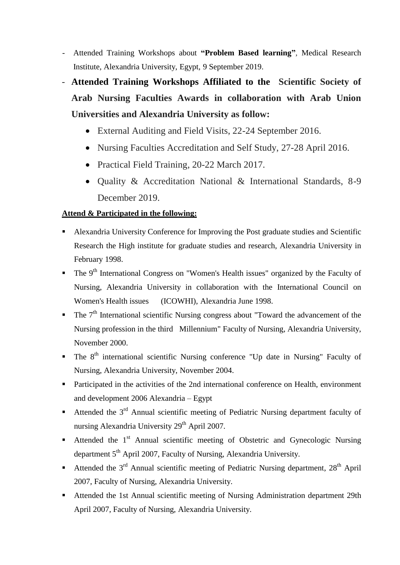- Attended Training Workshops about **"Problem Based learning"**, Medical Research Institute, Alexandria University, Egypt, 9 September 2019.
- **Attended Training Workshops Affiliated to the [Scientific Society of](https://www.facebook.com/The-Scientific-Society-of-Arab-Nursing-Faculties-Awards-1486975891521578/?ref=page_internal)  [Arab Nursing Faculties Awards](https://www.facebook.com/The-Scientific-Society-of-Arab-Nursing-Faculties-Awards-1486975891521578/?ref=page_internal) in collaboration with Arab Union Universities and Alexandria University as follow:**
	- External Auditing and Field Visits, 22-24 September 2016.
	- Nursing Faculties Accreditation and Self Study, 27-28 April 2016.
	- Practical Field Training, 20-22 March 2017.
	- Ouality & Accreditation National & International Standards, 8-9 December 2019.

#### **Attend & Participated in the following:**

- Alexandria University Conference for Improving the Post graduate studies and Scientific Research the High institute for graduate studies and research, Alexandria University in February 1998.
- $\blacksquare$  The 9<sup>th</sup> International Congress on "Women's Health issues" organized by the Faculty of Nursing, Alexandria University in collaboration with the International Council on Women's Health issues (ICOWHI), Alexandria June 1998.
- The 7<sup>th</sup> International scientific Nursing congress about "Toward the advancement of the Nursing profession in the third Millennium" Faculty of Nursing, Alexandria University, November 2000.
- $\blacksquare$  The 8<sup>th</sup> international scientific Nursing conference "Up date in Nursing" Faculty of Nursing, Alexandria University, November 2004.
- Participated in the activities of the 2nd international conference on Health, environment and development 2006 Alexandria – Egypt
- Attended the  $3<sup>rd</sup>$  Annual scientific meeting of Pediatric Nursing department faculty of nursing Alexandria University 29<sup>th</sup> April 2007.
- Attended the  $1<sup>st</sup>$  Annual scientific meeting of Obstetric and Gynecologic Nursing department 5<sup>th</sup> April 2007, Faculty of Nursing, Alexandria University.
- Attended the  $3<sup>rd</sup>$  Annual scientific meeting of Pediatric Nursing department,  $28<sup>th</sup>$  April 2007, Faculty of Nursing, Alexandria University.
- Attended the 1st Annual scientific meeting of Nursing Administration department 29th April 2007, Faculty of Nursing, Alexandria University.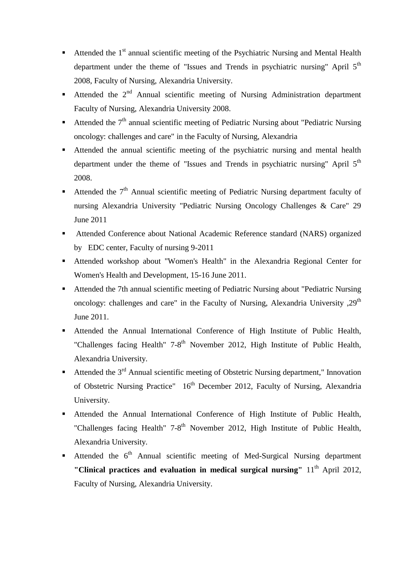- Attended the  $1<sup>st</sup>$  annual scientific meeting of the Psychiatric Nursing and Mental Health department under the theme of "Issues and Trends in psychiatric nursing" April 5<sup>th</sup> 2008, Faculty of Nursing, Alexandria University.
- Attended the  $2<sup>nd</sup>$  Annual scientific meeting of Nursing Administration department Faculty of Nursing, Alexandria University 2008.
- Attended the  $7<sup>th</sup>$  annual scientific meeting of Pediatric Nursing about "Pediatric Nursing oncology: challenges and care" in the Faculty of Nursing, Alexandria
- Attended the annual scientific meeting of the psychiatric nursing and mental health department under the theme of "Issues and Trends in psychiatric nursing" April 5<sup>th</sup> 2008.
- Attended the  $7<sup>th</sup>$  Annual scientific meeting of Pediatric Nursing department faculty of nursing Alexandria University "Pediatric Nursing Oncology Challenges & Care" 29 June 2011
- Attended Conference about National Academic Reference standard (NARS) organized by EDC center, Faculty of nursing 9-2011
- Attended workshop about "Women's Health" in the Alexandria Regional Center for Women's Health and Development, 15-16 June 2011.
- Attended the 7th annual scientific meeting of Pediatric Nursing about "Pediatric Nursing oncology: challenges and care" in the Faculty of Nursing, Alexandria University  $0.29<sup>th</sup>$ June 2011.
- Attended the Annual International Conference of High Institute of Public Health, "Challenges facing Health" 7-8<sup>th</sup> November 2012, High Institute of Public Health, Alexandria University.
- Attended the  $3<sup>rd</sup>$  Annual scientific meeting of Obstetric Nursing department," Innovation of Obstetric Nursing Practice" 16<sup>th</sup> December 2012, Faculty of Nursing, Alexandria University.
- Attended the Annual International Conference of High Institute of Public Health, "Challenges facing Health" 7-8<sup>th</sup> November 2012, High Institute of Public Health, Alexandria University.
- Attended the  $6<sup>th</sup>$  Annual scientific meeting of Med-Surgical Nursing department **"Clinical practices and evaluation in medical surgical nursing"** 11<sup>th</sup> April 2012. Faculty of Nursing, Alexandria University.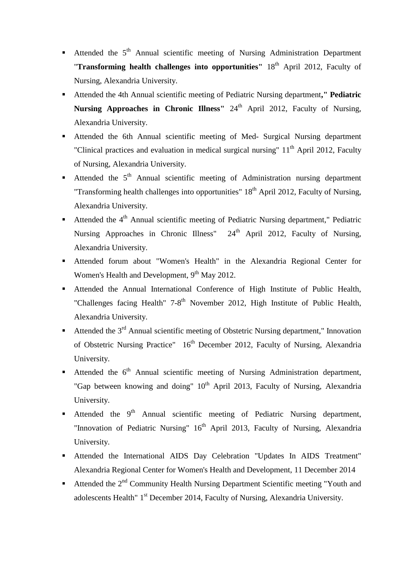- Attended the  $5<sup>th</sup>$  Annual scientific meeting of Nursing Administration Department "**Transforming health challenges into opportunities**" 18<sup>th</sup> April 2012, Faculty of Nursing, Alexandria University.
- Attended the 4th Annual scientific meeting of Pediatric Nursing department**," Pediatric**  Nursing Approaches in Chronic Illness" 24<sup>th</sup> April 2012, Faculty of Nursing, Alexandria University.
- Attended the 6th Annual scientific meeting of Med- Surgical Nursing department "Clinical practices and evaluation in medical surgical nursing"  $11<sup>th</sup>$  April 2012, Faculty of Nursing, Alexandria University.
- Attended the  $5<sup>th</sup>$  Annual scientific meeting of Administration nursing department "Transforming health challenges into opportunities"  $18<sup>th</sup>$  April 2012, Faculty of Nursing, Alexandria University.
- Attended the  $4<sup>th</sup>$  Annual scientific meeting of Pediatric Nursing department," Pediatric Nursing Approaches in Chronic Illness" 24<sup>th</sup> April 2012, Faculty of Nursing, Alexandria University.
- Attended forum about "Women's Health" in the Alexandria Regional Center for Women's Health and Development, 9<sup>th</sup> May 2012.
- Attended the Annual International Conference of High Institute of Public Health, "Challenges facing Health" 7-8<sup>th</sup> November 2012, High Institute of Public Health, Alexandria University.
- Attended the  $3<sup>rd</sup>$  Annual scientific meeting of Obstetric Nursing department," Innovation of Obstetric Nursing Practice" 16<sup>th</sup> December 2012, Faculty of Nursing, Alexandria University.
- Attended the  $6<sup>th</sup>$  Annual scientific meeting of Nursing Administration department, "Gap between knowing and doing"  $10<sup>th</sup>$  April 2013, Faculty of Nursing, Alexandria University.
- Attended the  $9<sup>th</sup>$  Annual scientific meeting of Pediatric Nursing department, "Innovation of Pediatric Nursing" 16<sup>th</sup> April 2013, Faculty of Nursing, Alexandria University.
- Attended the International AIDS Day Celebration "Updates In AIDS Treatment" Alexandria Regional Center for Women's Health and Development, 11 December 2014
- Attended the  $2<sup>nd</sup>$  Community Health Nursing Department Scientific meeting "Youth and adolescents Health" 1<sup>st</sup> December 2014, Faculty of Nursing, Alexandria University.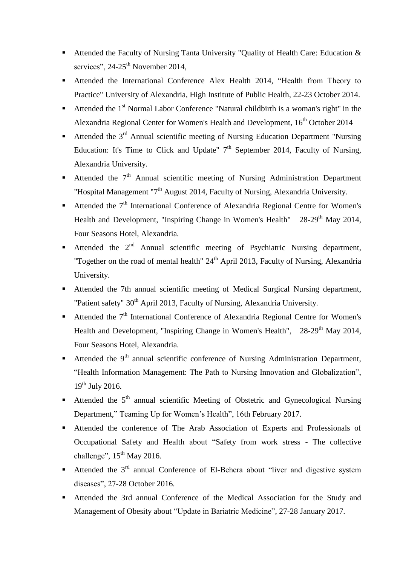- Attended the Faculty of Nursing Tanta University "Quality of Health Care: Education & services",  $24-25$ <sup>th</sup> November 2014,
- Attended the International Conference Alex Health 2014, "Health from Theory to Practice" University of Alexandria, High Institute of Public Health, 22-23 October 2014.
- Attended the  $1<sup>st</sup>$  Normal Labor Conference "Natural childbirth is a woman's right" in the Alexandria Regional Center for Women's Health and Development, 16<sup>th</sup> October 2014
- Attended the  $3<sup>rd</sup>$  Annual scientific meeting of Nursing Education Department "Nursing Education: It's Time to Click and Update"  $7<sup>th</sup>$  September 2014, Faculty of Nursing, Alexandria University.
- Attended the  $7<sup>th</sup>$  Annual scientific meeting of Nursing Administration Department "Hospital Management "7<sup>th</sup> August 2014, Faculty of Nursing, Alexandria University.
- Attended the  $7<sup>th</sup>$  International Conference of Alexandria Regional Centre for Women's Health and Development, "Inspiring Change in Women's Health"  $28-29<sup>th</sup>$  May 2014, Four Seasons Hotel, Alexandria.
- Attended the  $2<sup>nd</sup>$  Annual scientific meeting of Psychiatric Nursing department, "Together on the road of mental health"  $24<sup>th</sup>$  April 2013, Faculty of Nursing, Alexandria University.
- Attended the 7th annual scientific meeting of Medical Surgical Nursing department, "Patient safety" 30<sup>th</sup> April 2013, Faculty of Nursing, Alexandria University.
- **Attended the**  $7<sup>th</sup>$  **International Conference of Alexandria Regional Centre for Women's** Health and Development, "Inspiring Change in Women's Health",  $28-29<sup>th</sup>$  May 2014, Four Seasons Hotel, Alexandria.
- Attended the  $9<sup>th</sup>$  annual scientific conference of Nursing Administration Department, "Health Information Management: The Path to Nursing Innovation and Globalization",  $19^{th}$  July 2016.
- Attended the  $5<sup>th</sup>$  annual scientific Meeting of Obstetric and Gynecological Nursing Department," Teaming Up for Women's Health", 16th February 2017.
- Attended the conference of The Arab Association of Experts and Professionals of Occupational Safety and Health about "Safety from work stress - The collective challenge",  $15^{th}$  May 2016.
- Attended the  $3<sup>rd</sup>$  annual Conference of El-Behera about "liver and digestive system diseases", 27-28 October 2016.
- Attended the 3rd annual Conference of the Medical Association for the Study and Management of Obesity about "Update in Bariatric Medicine", 27-28 January 2017.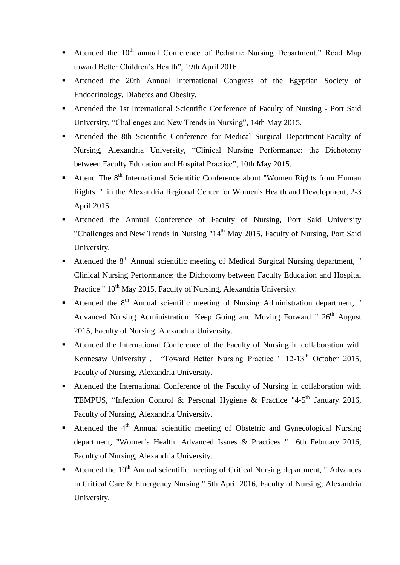- Attended the  $10<sup>th</sup>$  annual Conference of Pediatric Nursing Department," Road Map toward Better Children's Health", 19th April 2016.
- Attended the 20th Annual International Congress of the Egyptian Society of Endocrinology, Diabetes and Obesity.
- Attended the 1st International Scientific Conference of Faculty of Nursing Port Said University, "Challenges and New Trends in Nursing", 14th May 2015.
- Attended the 8th Scientific Conference for Medical Surgical Department-Faculty of Nursing, Alexandria University, "Clinical Nursing Performance: the Dichotomy between Faculty Education and Hospital Practice", 10th May 2015.
- Attend The 8<sup>th</sup> International Scientific Conference about "Women Rights from Human Rights " in the Alexandria Regional Center for Women's Health and Development, 2-3 April 2015.
- Attended the Annual Conference of Faculty of Nursing, Port Said University "Challenges and New Trends in Nursing "14<sup>th</sup> May 2015, Faculty of Nursing, Port Said University.
- Attended the  $8<sup>th</sup>$  Annual scientific meeting of Medical Surgical Nursing department, " Clinical Nursing Performance: the Dichotomy between Faculty Education and Hospital Practice " 10<sup>th</sup> May 2015, Faculty of Nursing, Alexandria University.
- Attended the  $8<sup>th</sup>$  Annual scientific meeting of Nursing Administration department, " Advanced Nursing Administration: Keep Going and Moving Forward " 26<sup>th</sup> August 2015, Faculty of Nursing, Alexandria University.
- Attended the International Conference of the Faculty of Nursing in collaboration with Kennesaw University, "Toward Better Nursing Practice " 12-13<sup>th</sup> October 2015, Faculty of Nursing, Alexandria University.
- Attended the International Conference of the Faculty of Nursing in collaboration with TEMPUS, "Infection Control & Personal Hygiene & Practice "4-5<sup>th</sup> January 2016, Faculty of Nursing, Alexandria University.
- **Attended the 4<sup>th</sup> Annual scientific meeting of Obstetric and Gynecological Nursing** department, "Women's Health: Advanced Issues & Practices " 16th February 2016, Faculty of Nursing, Alexandria University.
- Attended the  $10<sup>th</sup>$  Annual scientific meeting of Critical Nursing department, " Advances in Critical Care & Emergency Nursing " 5th April 2016, Faculty of Nursing, Alexandria University.